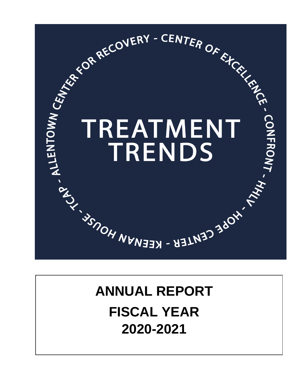

# **ANNUAL REPORT FISCAL YEAR 2020-2021**

 $\mathsf{L}$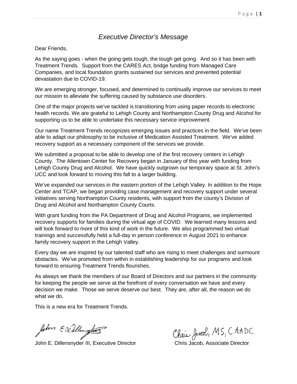## *Executive Director's Message*

Dear Friends,

As the saying goes - when the going gets tough, the tough get going. And so it has been with Treatment Trends. Support from the CARES Act, bridge funding from Managed Care Companies, and local foundation grants sustained our services and prevented potential devastation due to COVID-19.

We are emerging stronger, focused, and determined to continually improve our services to meet our mission to alleviate the suffering caused by substance use disorders.

One of the major projects we've tackled is transitioning from using paper records to electronic health records. We are grateful to Lehigh County and Northampton County Drug and Alcohol for supporting us to be able to undertake this necessary service improvement.

Our name Treatment Trends recognizes emerging issues and practices in the field. We've been able to adapt our philosophy to be inclusive of Medication Assisted Treatment. We've added recovery support as a necessary component of the services we provide.

We submitted a proposal to be able to develop one of the first recovery centers in Lehigh County. The Allentown Center for Recovery began in January of this year with funding from Lehigh County Drug and Alcohol. We have quickly outgrown our temporary space at St. John's UCC and look forward to moving this fall to a larger building.

We've expanded our services in the eastern portion of the Lehigh Valley. In addition to the Hope Center and TCAP, we began providing case management and recovery support under several initiatives serving Northampton County residents, with support from the county's Division of Drug and Alcohol and Northampton County Courts.

With grant funding from the PA Department of Drug and Alcohol Programs, we implemented recovery supports for families during the virtual age of COVID. We learned many lessons and will look forward to more of this kind of work in the future. We also programmed two virtual trainings and successfully held a full-day in person conference in August 2021 to enhance family recovery support in the Lehigh Valley.

Every day we are inspired by our talented staff who are rising to meet challenges and surmount obstacles. We've promoted from within in establishing leadership for our programs and look forward to ensuring Treatment Trends flourishes.

As always we thank the members of our Board of Directors and our partners in the community for keeping the people we serve at the forefront of every conversation we have and every decision we make. Those we serve deserve our best. They are, after all, the reason we do what we do.

This is a new era for Treatment Trends.

 $f_{\nu}$ *form*  $\epsilon \alpha$  *allengture*  $\epsilon$ <br>John E. Dillensnyder III, Executive Director Chris Jacob, Associate Director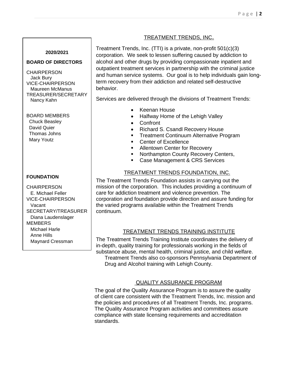#### TREATMENT TRENDS, INC.

#### **2020/2021**

#### **BOARD OF DIRECTORS**

CHAIRPERSON Jack Bury VICE-CHAIRPERSON Maureen McManus TREASURER/SECRETARY Nancy Kahn

## BOARD MEMBERS Chuck Beasley David Quier

 Thomas Johns Mary Youtz

#### **FOUNDATION**

**CHAIRPERSON**  E. Michael Feller VICE-CHAIRPERSON Vacant SECRETARY/TREASURER Diana Laudenslager MEMBERS Michael Harle Anne Hills Maynard Cressman

Treatment Trends, Inc. (TTI) is a private, non-profit 501(c)(3) corporation. We seek to lessen suffering caused by addiction to alcohol and other drugs by providing compassionate inpatient and outpatient treatment services in partnership with the criminal justice and human service systems. Our goal is to help individuals gain longterm recovery from their addiction and related self-destructive behavior.

Services are delivered through the divisions of Treatment Trends:

- Keenan House
- Halfway Home of the Lehigh Valley
- Confront
- Richard S. Csandl Recovery House
- **Treatment Continuum Alternative Program**
- **Center of Excellence**
- **Allentown Center for Recovery**
- **Northampton County Recovery Centers,**
- **Case Management & CRS Services**

#### TREATMENT TRENDS FOUNDATION, INC.

The Treatment Trends Foundation assists in carrying out the mission of the corporation. This includes providing a continuum of care for addiction treatment and violence prevention. The corporation and foundation provide direction and assure funding for the varied programs available within the Treatment Trends continuum.

#### TREATMENT TRENDS TRAINING INSTITUTE

The Treatment Trends Training Institute coordinates the delivery of in-depth, quality training for professionals working in the fields of substance abuse, mental health, criminal justice, and child welfare. Treatment Trends also co-sponsors Pennsylvania Department of

Drug and Alcohol training with Lehigh County.

#### QUALITY ASSURANCE PROGRAM

The goal of the Quality Assurance Program is to assure the quality of client care consistent with the Treatment Trends, Inc. mission and the policies and procedures of all Treatment Trends, Inc. programs. The Quality Assurance Program activities and committees assure compliance with state licensing requirements and accreditation standards.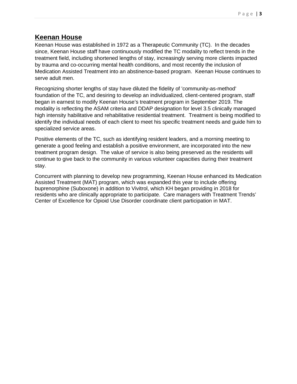# **Keenan House**

Keenan House was established in 1972 as a Therapeutic Community (TC). In the decades since, Keenan House staff have continuously modified the TC modality to reflect trends in the treatment field, including shortened lengths of stay, increasingly serving more clients impacted by trauma and co-occurring mental health conditions, and most recently the inclusion of Medication Assisted Treatment into an abstinence-based program. Keenan House continues to serve adult men.

Recognizing shorter lengths of stay have diluted the fidelity of 'community-as-method' foundation of the TC, and desiring to develop an individualized, client-centered program, staff began in earnest to modify Keenan House's treatment program in September 2019. The modality is reflecting the ASAM criteria and DDAP designation for level 3.5 clinically managed high intensity habilitative and rehabilitative residential treatment. Treatment is being modified to identify the individual needs of each client to meet his specific treatment needs and guide him to specialized service areas.

Positive elements of the TC, such as identifying resident leaders, and a morning meeting to generate a good feeling and establish a positive environment, are incorporated into the new treatment program design. The value of service is also being preserved as the residents will continue to give back to the community in various volunteer capacities during their treatment stay.

Concurrent with planning to develop new programming, Keenan House enhanced its Medication Assisted Treatment (MAT) program, which was expanded this year to include offering buprenorphine (Suboxone) in addition to Vivitrol, which KH began providing in 2018 for residents who are clinically appropriate to participate. Care managers with Treatment Trends' Center of Excellence for Opioid Use Disorder coordinate client participation in MAT.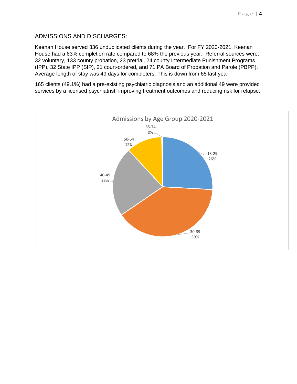#### ADMISSIONS AND DISCHARGES:

Keenan House served 336 unduplicated clients during the year. For FY 2020-2021, Keenan House had a 63% completion rate compared to 68% the previous year. Referral sources were: 32 voluntary, 133 county probation, 23 pretrial, 24 county Intermediate Punishment Programs (IPP), 32 State IPP (SIP), 21 court-ordered, and 71 PA Board of Probation and Parole (PBPP). Average length of stay was 49 days for completers. This is down from 65 last year.

165 clients (49.1%) had a pre-existing psychiatric diagnosis and an additional 49 were provided services by a licensed psychiatrist, improving treatment outcomes and reducing risk for relapse.

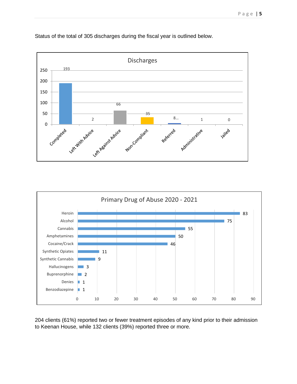



Primary Drug of Abuse 2020 - 2021 Heroin 83 Alcohol 75 Cannabis 55 Amphetamines 50 Cocaine/Crack 46 Synthetic Opiates 11 Synthetic Cannabis 9 Hallucinogens 3 Buprenorphine  $\Box$  2 Denies 1 ш Benzodiazepine  $\blacksquare$  1 0 10 20 30 40 50 60 70 80 90

204 clients (61%) reported two or fewer treatment episodes of any kind prior to their admission to Keenan House, while 132 clients (39%) reported three or more.

Status of the total of 305 discharges during the fiscal year is outlined below.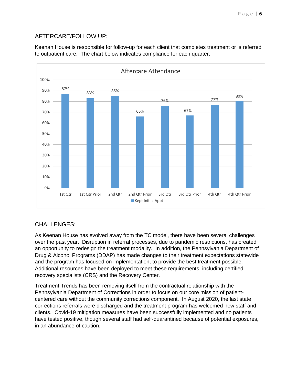# AFTERCARE/FOLLOW UP:

Keenan House is responsible for follow-up for each client that completes treatment or is referred to outpatient care. The chart below indicates compliance for each quarter.



## CHALLENGES:

As Keenan House has evolved away from the TC model, there have been several challenges over the past year. Disruption in referral processes, due to pandemic restrictions, has created an opportunity to redesign the treatment modality. In addition, the Pennsylvania Department of Drug & Alcohol Programs (DDAP) has made changes to their treatment expectations statewide and the program has focused on implementation, to provide the best treatment possible. Additional resources have been deployed to meet these requirements, including certified recovery specialists (CRS) and the Recovery Center.

Treatment Trends has been removing itself from the contractual relationship with the Pennsylvania Department of Corrections in order to focus on our core mission of patientcentered care without the community corrections component. In August 2020, the last state corrections referrals were discharged and the treatment program has welcomed new staff and clients. Covid-19 mitigation measures have been successfully implemented and no patients have tested positive, though several staff had self-quarantined because of potential exposures, in an abundance of caution.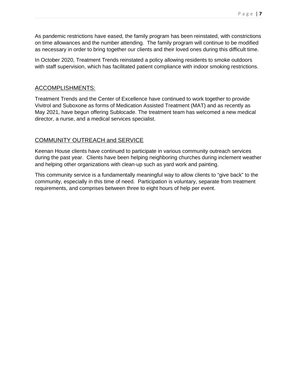As pandemic restrictions have eased, the family program has been reinstated, with constrictions on time allowances and the number attending. The family program will continue to be modified as necessary in order to bring together our clients and their loved ones during this difficult time.

In October 2020, Treatment Trends reinstated a policy allowing residents to smoke outdoors with staff supervision, which has facilitated patient compliance with indoor smoking restrictions.

#### ACCOMPLISHMENTS:

Treatment Trends and the Center of Excellence have continued to work together to provide Vivitrol and Suboxone as forms of Medication Assisted Treatment (MAT) and as recently as May 2021, have begun offering Sublocade. The treatment team has welcomed a new medical director, a nurse, and a medical services specialist.

### COMMUNITY OUTREACH and SERVICE

Keenan House clients have continued to participate in various community outreach services during the past year. Clients have been helping neighboring churches during inclement weather and helping other organizations with clean-up such as yard work and painting.

This community service is a fundamentally meaningful way to allow clients to "give back" to the community, especially in this time of need. Participation is voluntary, separate from treatment requirements, and comprises between three to eight hours of help per event.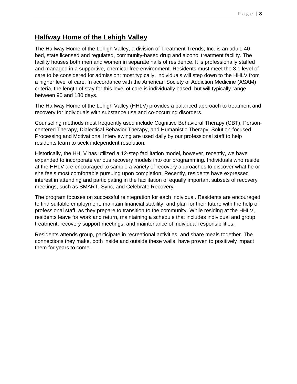# **Halfway Home of the Lehigh Valley**

The Halfway Home of the Lehigh Valley, a division of Treatment Trends, Inc. is an adult, 40 bed, state licensed and regulated, community-based drug and alcohol treatment facility. The facility houses both men and women in separate halls of residence. It is professionally staffed and managed in a supportive, chemical-free environment. Residents must meet the 3.1 level of care to be considered for admission; most typically, individuals will step down to the HHLV from a higher level of care. In accordance with the American Society of Addiction Medicine (ASAM) criteria, the length of stay for this level of care is individually based, but will typically range between 90 and 180 days.

The Halfway Home of the Lehigh Valley (HHLV) provides a balanced approach to treatment and recovery for individuals with substance use and co-occurring disorders.

Counseling methods most frequently used include Cognitive Behavioral Therapy (CBT), Personcentered Therapy, Dialectical Behavior Therapy, and Humanistic Therapy. Solution-focused Processing and Motivational Interviewing are used daily by our professional staff to help residents learn to seek independent resolution.

Historically, the HHLV has utilized a 12-step facilitation model, however, recently, we have expanded to incorporate various recovery models into our programming. Individuals who reside at the HHLV are encouraged to sample a variety of recovery approaches to discover what he or she feels most comfortable pursuing upon completion. Recently, residents have expressed interest in attending and participating in the facilitation of equally important subsets of recovery meetings, such as SMART, Sync, and Celebrate Recovery.

The program focuses on successful reintegration for each individual. Residents are encouraged to find suitable employment, maintain financial stability, and plan for their future with the help of professional staff, as they prepare to transition to the community. While residing at the HHLV, residents leave for work and return, maintaining a schedule that includes individual and group treatment, recovery support meetings, and maintenance of individual responsibilities.

Residents attends group, participate in recreational activities, and share meals together. The connections they make, both inside and outside these walls, have proven to positively impact them for years to come.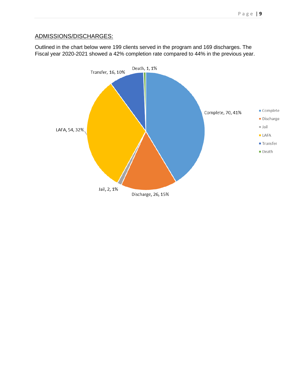# ADMISSIONS/DISCHARGES:

Outlined in the chart below were 199 clients served in the program and 169 discharges. The Fiscal year 2020-2021 showed a 42% completion rate compared to 44% in the previous year.

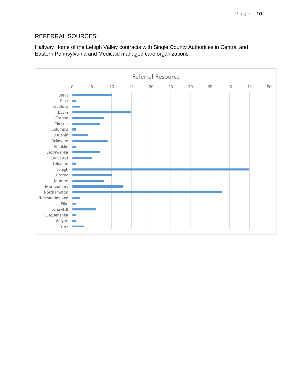# REFERRAL SOURCES:

Halfway Home of the Lehigh Valley contracts with Single County Authorities in Central and Eastern Pennsylvania and Medicaid managed care organizations.

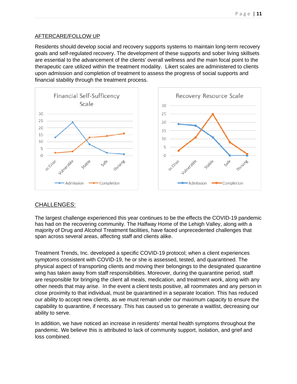#### AFTERCARE/FOLLOW UP

Residents should develop social and recovery supports systems to maintain long-term recovery goals and self-regulated recovery. The development of these supports and sober living skillsets are essential to the advancement of the clients' overall wellness and the main focal point to the therapeutic care utilized within the treatment modality. Likert scales are administered to clients upon admission and completion of treatment to assess the progress of social supports and financial stability through the treatment process.



### CHALLENGES:

The largest challenge experienced this year continues to be the effects the COVID-19 pandemic has had on the recovering community. The Halfway Home of the Lehigh Valley, along with a majority of Drug and Alcohol Treatment facilities, have faced unprecedented challenges that span across several areas, affecting staff and clients alike.

Treatment Trends, Inc. developed a specific COVID-19 protocol; when a client experiences symptoms consistent with COVID-19, he or she is assessed, tested, and quarantined. The physical aspect of transporting clients and moving their belongings to the designated quarantine wing has taken away from staff responsibilities. Moreover, during the quarantine period, staff are responsible for bringing the client all meals, medication, and treatment work, along with any other needs that may arise. In the event a client tests positive, all roommates and any person in close proximity to that individual, must be quarantined in a separate location. This has reduced our ability to accept new clients, as we must remain under our maximum capacity to ensure the capability to quarantine, if necessary. This has caused us to generate a waitlist, decreasing our ability to serve.

In addition, we have noticed an increase in residents' mental health symptoms throughout the pandemic. We believe this is attributed to lack of community support, isolation, and grief and loss combined.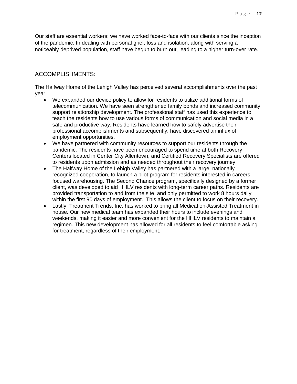Our staff are essential workers; we have worked face-to-face with our clients since the inception of the pandemic. In dealing with personal grief, loss and isolation, along with serving a noticeably deprived population, staff have begun to burn out, leading to a higher turn-over rate.

## ACCOMPLISHMENTS:

The Halfway Home of the Lehigh Valley has perceived several accomplishments over the past year:

- We expanded our device policy to allow for residents to utilize additional forms of telecommunication. We have seen strengthened family bonds and increased community support relationship development. The professional staff has used this experience to teach the residents how to use various forms of communication and social media in a safe and productive way. Residents have learned how to safely advertise their professional accomplishments and subsequently, have discovered an influx of employment opportunities.
- We have partnered with community resources to support our residents through the pandemic. The residents have been encouraged to spend time at both Recovery Centers located in Center City Allentown, and Certified Recovery Specialists are offered to residents upon admission and as needed throughout their recovery journey.
- The Halfway Home of the Lehigh Valley has partnered with a large, nationally recognized cooperation, to launch a pilot program for residents interested in careers focused warehousing. The Second Chance program, specifically designed by a former client, was developed to aid HHLV residents with long-term career paths. Residents are provided transportation to and from the site, and only permitted to work 8 hours daily within the first 90 days of employment. This allows the client to focus on their recovery.
- Lastly, Treatment Trends, Inc. has worked to bring all Medication-Assisted Treatment in house. Our new medical team has expanded their hours to include evenings and weekends, making it easier and more convenient for the HHLV residents to maintain a regimen. This new development has allowed for all residents to feel comfortable asking for treatment, regardless of their employment.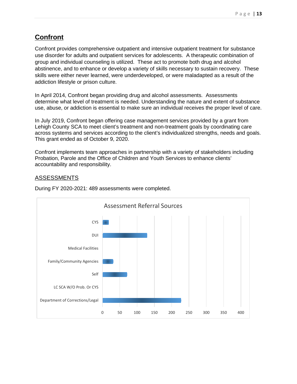# **Confront**

Confront provides comprehensive outpatient and intensive outpatient treatment for substance use disorder for adults and outpatient services for adolescents. A therapeutic combination of group and individual counseling is utilized. These act to promote both drug and alcohol abstinence, and to enhance or develop a variety of skills necessary to sustain recovery. These skills were either never learned, were underdeveloped, or were maladapted as a result of the addiction lifestyle or prison culture.

In April 2014, Confront began providing drug and alcohol assessments. Assessments determine what level of treatment is needed. Understanding the nature and extent of substance use, abuse, or addiction is essential to make sure an individual receives the proper level of care.

In July 2019, Confront began offering case management services provided by a grant from Lehigh County SCA to meet client's treatment and non-treatment goals by coordinating care across systems and services according to the client's individualized strengths, needs and goals. This grant ended as of October 9, 2020.

Confront implements team approaches in partnership with a variety of stakeholders including Probation, Parole and the Office of Children and Youth Services to enhance clients' accountability and responsibility.

### **ASSESSMENTS**



During FY 2020-2021: 489 assessments were completed.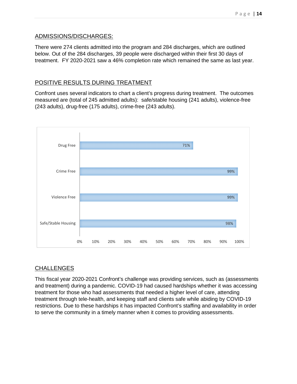#### ADMISSIONS/DISCHARGES:

There were 274 clients admitted into the program and 284 discharges, which are outlined below. Out of the 284 discharges, 39 people were discharged within their first 30 days of treatment. FY 2020-2021 saw a 46% completion rate which remained the same as last year.

### POSITIVE RESULTS DURING TREATMENT

Confront uses several indicators to chart a client's progress during treatment. The outcomes measured are (total of 245 admitted adults): safe/stable housing (241 adults), violence-free (243 adults), drug-free (175 adults), crime-free (243 adults).



### CHALLENGES

This fiscal year 2020-2021 Confront's challenge was providing services, such as (assessments and treatment) during a pandemic. COVID-19 had caused hardships whether it was accessing treatment for those who had assessments that needed a higher level of care, attending treatment through tele-health, and keeping staff and clients safe while abiding by COVID-19 restrictions. Due to these hardships it has impacted Confront's staffing and availability in order to serve the community in a timely manner when it comes to providing assessments.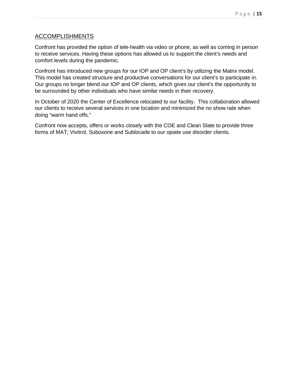#### ACCOMPLISHMENTS

Confront has provided the option of tele-health via video or phone, as well as coming in person to receive services. Having these options has allowed us to support the client's needs and comfort levels during the pandemic.

Confront has introduced new groups for our IOP and OP client's by utilizing the Matrix model. This model has created structure and productive conversations for our client's to participate in. Our groups no longer blend our IOP and OP clients, which gives our client's the opportunity to be surrounded by other individuals who have similar needs in their recovery.

In October of 2020 the Center of Excellence relocated to our facility. This collaboration allowed our clients to receive several services in one location and minimized the no show rate when doing "warm hand offs."

Confront now accepts, offers or works closely with the COE and Clean Slate to provide three forms of MAT; Vivitrol, Suboxone and Sublocade to our opiate use disorder clients.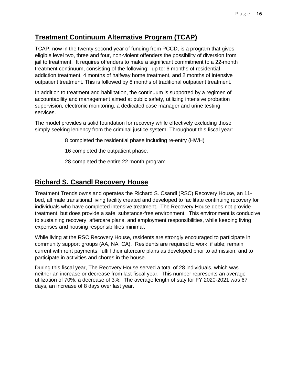# **Treatment Continuum Alternative Program (TCAP)**

TCAP, now in the twenty second year of funding from PCCD, is a program that gives eligible level two, three and four, non-violent offenders the possibility of diversion from jail to treatment. It requires offenders to make a significant commitment to a 22-month treatment continuum, consisting of the following: up to: 6 months of residential addiction treatment, 4 months of halfway home treatment, and 2 months of intensive outpatient treatment. This is followed by 8 months of traditional outpatient treatment.

In addition to treatment and habilitation, the continuum is supported by a regimen of accountability and management aimed at public safety, utilizing intensive probation supervision, electronic monitoring, a dedicated case manager and urine testing services.

The model provides a solid foundation for recovery while effectively excluding those simply seeking leniency from the criminal justice system. Throughout this fiscal year:

8 completed the residential phase including re-entry (HWH)

- 16 completed the outpatient phase.
- 28 completed the entire 22 month program

# **Richard S. Csandl Recovery House**

Treatment Trends owns and operates the Richard S. Csandl (RSC) Recovery House, an 11 bed, all male transitional living facility created and developed to facilitate continuing recovery for individuals who have completed intensive treatment. The Recovery House does not provide treatment, but does provide a safe, substance-free environment. This environment is conducive to sustaining recovery, aftercare plans, and employment responsibilities, while keeping living expenses and housing responsibilities minimal.

While living at the RSC Recovery House, residents are strongly encouraged to participate in community support groups (AA, NA, CA). Residents are required to work, if able; remain current with rent payments; fulfill their aftercare plans as developed prior to admission; and to participate in activities and chores in the house.

During this fiscal year, The Recovery House served a total of 28 individuals, which was neither an increase or decrease from last fiscal year. This number represents an average utilization of 70%, a decrease of 3%. The average length of stay for FY 2020-2021 was 67 days, an increase of 8 days over last year.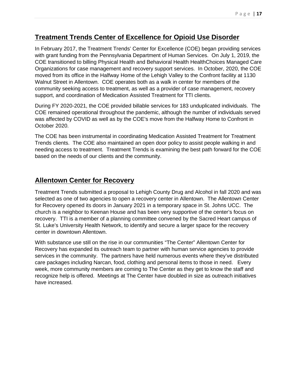# **Treatment Trends Center of Excellence for Opioid Use Disorder**

In February 2017, the Treatment Trends' Center for Excellence (COE) began providing services with grant funding from the Pennsylvania Department of Human Services. On July 1, 2019, the COE transitioned to billing Physical Health and Behavioral Health HealthChoices Managed Care Organizations for case management and recovery support services. In October, 2020, the COE moved from its office in the Halfway Home of the Lehigh Valley to the Confront facility at 1130 Walnut Street in Allentown. COE operates both as a walk in center for members of the community seeking access to treatment, as well as a provider of case management, recovery support, and coordination of Medication Assisted Treatment for TTI clients.

During FY 2020-2021, the COE provided billable services for 183 unduplicated individuals. The COE remained operational throughout the pandemic, although the number of individuals served was affected by COVID as well as by the COE's move from the Halfway Home to Confront in October 2020.

The COE has been instrumental in coordinating Medication Assisted Treatment for Treatment Trends clients. The COE also maintained an open door policy to assist people walking in and needing access to treatment. Treatment Trends is examining the best path forward for the COE based on the needs of our clients and the community.

# **Allentown Center for Recovery**

Treatment Trends submitted a proposal to Lehigh County Drug and Alcohol in fall 2020 and was selected as one of two agencies to open a recovery center in Allentown. The Allentown Center for Recovery opened its doors in January 2021 in a temporary space in St. Johns UCC. The church is a neighbor to Keenan House and has been very supportive of the center's focus on recovery. TTI is a member of a planning committee convened by the Sacred Heart campus of St. Luke's University Health Network, to identify and secure a larger space for the recovery center in downtown Allentown.

With substance use still on the rise in our communities "The Center" Allentown Center for Recovery has expanded its outreach team to partner with human service agencies to provide services in the community. The partners have held numerous events where they've distributed care packages including Narcan, food, clothing and personal items to those in need. Every week, more community members are coming to The Center as they get to know the staff and recognize help is offered. Meetings at The Center have doubled in size as outreach initiatives have increased.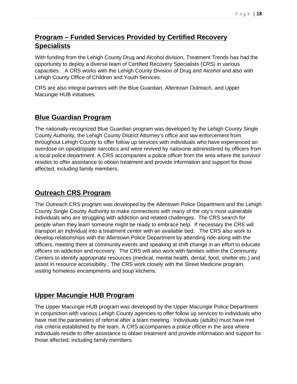# **Program – Funded Services Provided by Certified Recovery Specialists**

With funding from the Lehigh County Drug and Alcohol division, Treatment Trends has had the opportunity to deploy a diverse team of Certified Recovery Specialists (CRS) in various capacities. A CRS works with the Lehigh County Division of Drug and Alcohol and also with Lehigh County Office of Children and Youth Services.

CRS are also integral partners with the Blue Guardian, Allentown Outreach, and Upper Macungie HUB initiatives.

# **Blue Guardian Program**

The nationally-recognized Blue Guardian program was developed by the Lehigh County Single County Authority, the Lehigh County District Attorney's office and law enforcement from throughout Lehigh County to offer follow up services with individuals who have experienced an overdose on opioid/opiate narcotics and were revived by naloxone administered by officers from a local police department. A CRS accompanies a police officer from the area where the survivor resides to offer assistance to obtain treatment and provide information and support for those affected, including family members.

# **Outreach CRS Program**

The Outreach CRS program was developed by the Allentown Police Department and the Lehigh County Single County Authority to make connections with many of the city's most vulnerable individuals who are struggling with addiction and related challenges. The CRS search for people when they learn someone might be ready to embrace help. If necessary the CRS will transport an individual into a treatment center with an available bed. The CRS also work to develop relationships with the Allentown Police Department by attending ride-along with the officers, meeting them at community events and speaking at shift change in an effort to educate officers on addiction and recovery. The CRS will also work with families within the Community Centers to identify appropriate resources (medical, mental health, dental, food, shelter etc.) and assist in resource accessibility. The CRS work closely with the Street Medicine program, visiting homeless encampments and soup kitchens.

# **Upper Macungie HUB Program**

The Upper Macungie HUB program was developed by the Upper Macungie Police Department in conjunction with various Lehigh County agencies to offer follow up services to individuals who have met the parameters of referral after a team meeting. Individuals (adults) must have met risk criteria established by the team. A CRS accompanies a police officer in the area where individuals reside to offer assistance to obtain treatment and provide information and support for those affected, including family members.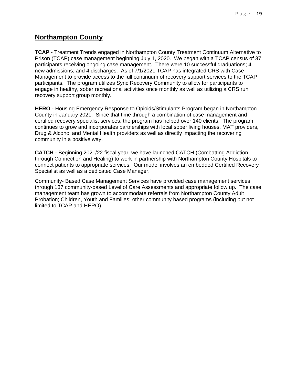# **Northampton County**

**TCAP** - Treatment Trends engaged in Northampton County Treatment Continuum Alternative to Prison (TCAP) case management beginning July 1, 2020. We began with a TCAP census of 37 participants receiving ongoing case management. There were 10 successful graduations; 4 new admissions; and 4 discharges. As of 7/1/2021 TCAP has integrated CRS with Case Management to provide access to the full continuum of recovery support services to the TCAP participants. The program utilizes Sync Recovery Community to allow for participants to engage in healthy, sober recreational activities once monthly as well as utilizing a CRS run recovery support group monthly.

**HERO** - Housing Emergency Response to Opioids/Stimulants Program began in Northampton County in January 2021. Since that time through a combination of case management and certified recovery specialist services, the program has helped over 140 clients. The program continues to grow and incorporates partnerships with local sober living houses, MAT providers, Drug & Alcohol and Mental Health providers as well as directly impacting the recovering community in a positive way.

**CATCH** - Beginning 2021/22 fiscal year, we have launched CATCH (Combatting Addiction through Connection and Healing) to work in partnership with Northampton County Hospitals to connect patients to appropriate services. Our model involves an embedded Certified Recovery Specialist as well as a dedicated Case Manager.

Community- Based Case Management Services have provided case management services through 137 community-based Level of Care Assessments and appropriate follow up. The case management team has grown to accommodate referrals from Northampton County Adult Probation; Children, Youth and Families; other community based programs (including but not limited to TCAP and HERO).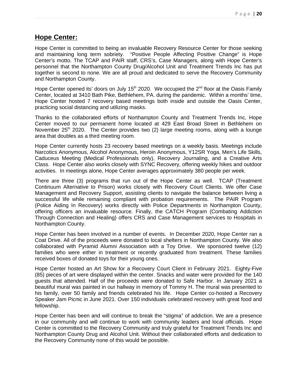# **Hope Center:**

Hope Center is committed to being an invaluable Recovery Resource Center for those seeking and maintaining long term sobriety. "Positive People Affecting Positive Change" is Hope Center's motto. The TCAP and PAIR staff, CRS's, Case Managers, along with Hope Center's personnel that the Northampton County Drug/Alcohol Unit and Treatment Trends Inc has put together is second to none. We are all proud and dedicated to serve the Recovery Community and Northampton County.

Hope Center opened its' doors on July 15<sup>th</sup> 2020. We occupied the  $2^{nd}$  floor at the Oasis Family Center, located at 3410 Bath Pike, Bethlehem, PA. during the pandemic. Within a months' time, Hope Center hosted 7 recovery based meetings both inside and outside the Oasis Center, practicing social distancing and utilizing masks.

Thanks to the collaborated efforts of Northampton County and Treatment Trends Inc, Hope Center moved to our permanent home located at 429 East Broad Street in Bethlehem on November  $25<sup>th</sup>$  2020. The Center provides two (2) large meeting rooms, along with a lounge area that doubles as a third meeting room.

Hope Center currently hosts 23 recovery based meetings on a weekly basis. Meetings include Narcotics Anonymous, Alcohol Anonymous, Heroin Anonymous, Y12SR Yoga, Men's Life Skills, Caduceus Meeting (Medical Professionals only), Recovery Journaling, and a Creative Arts Class. Hope Center also works closely with SYNC Recovery, offering weekly hikes and outdoor activities. In meetings alone, Hope Center averages approximately 380 people per week.

There are three (3) programs that run out of the Hope Center as well. TCAP (Treatment Continuum Alternative to Prison) works closely with Recovery Court Clients. We offer Case Management and Recovery Support, assisting clients to navigate the balance between living a successful life while remaining compliant with probation requirements. The PAIR Program (Police Aiding In Recovery) works directly with Police Departments in Northampton County, offering officers an invaluable resource. Finally, the CATCH Program (Combating Addiction Through Connection and Healing) offers CRS and Case Management services to Hospitals in Northampton County.

Hope Center has been involved in a number of events. In December 2020, Hope Center ran a Coat Drive. All of the proceeds were donated to local shelters in Northampton County. We also collaborated with Pyramid Alumni Association with a Toy Drive. We sponsored twelve (12) families who were either in treatment or recently graduated from treatment. These families received boxes of donated toys for their young ones.

Hope Center hosted an Art Show for a Recovery Court Client in February 2021. Eighty-Five (85) pieces of art were displayed within the center. Snacks and water were provided for the 140 guests that attended. Half of the proceeds were donated to Safe Harbor. In January 2021 a beautiful mural was painted in our hallway in memory of Tommy H. The mural was presented to his family, over 50 family and friends celebrated his life. Hope Center co-hosted a Recovery Speaker Jam Picnic in June 2021. Over 150 individuals celebrated recovery with great food and fellowship.

Hope Center has been and will continue to break the "stigma" of addiction. We are a presence in our community and will continue to work with community leaders and local officials. Hope Center is committed to the Recovery Community and truly grateful for Treatment Trends Inc and Northampton County Drug and Alcohol Unit. Without their collaborated efforts and dedication to the Recovery Community none of this would be possible.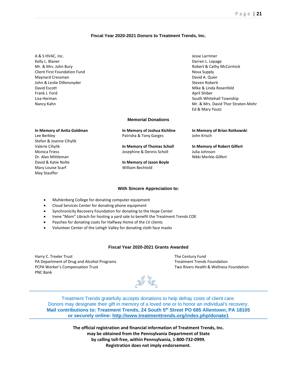#### **Fiscal Year 2020-2021 Donors to Treatment Trends, Inc.**

- A & S HVAC, Inc. **A & S HVAC, Inc.** Jesse Larrimer Kelly L. Blaner **Darren L. Lepage** Mr. & Mrs. John Bury **Robert & Cathy McCormick** Cathy McCormick Client First Foundation Fund Nova Supply and Nova Supply Maynard Cressman David A. Quier John & Leslie Dillensnyder Noberting and Steven Roberting Steven Roberting and Steven Roberting and Steven Roberting and Steven Roberting and Steven Roberting and Steven Roberting and Steven Roberting and Steven Roberting David Escott **Mike & Linda Rosenfeld Frank J. Ford April Shiber Contract April Shiber April Shiber April Shiber April Shiber April Shiber April Shiber April Shiber April Shiber April Shiber April Shiber April Shiber April Shiber Apr** Lisa Herman South Whitehall Township
- Nancy Kahn Mr. & Mrs. David Thor Straten-Mohr Ed & Mary Youtz

#### **Memorial Donations**

Lee Berkley Patrisha & Tony Garges John Krisch Stefan & Joanne Cihylik Valerie Cihylik **In Memory of Thomas Scholl In Memory of Robert Gilfert** Monica Friess Josephine & Dennis Scholl Julia Johnson Dr. Alan Mittleman Nikki Merkle-Gilfert David & Katie Nolte **In Memory of Jason Boyle** Mary Louise Scarf William Bechtold May Stauffer

**In Memory of Anita Goldman In Memory of Joshua Kichline In Memory of Brian Rotkowski** 

#### **With Sincere Appreciation to:**

- Muhlenberg College for donating computer equipment
- Cloud Services Center for donating phone equipment
- Synchronicity Recovery Foundation for donating to the Hope Center
- Irene "Mom" Librach for hosting a yard sale to benefit the Treatment Trends COE
- Paychex for donating coats for Halfway Home of the LV clients
- Volunteer Center of the Lehigh Valley for donating cloth face masks

#### **Fiscal Year 2020-2021 Grants Awarded**

Harry C. Trexler Trust The Century Fund PA Department of Drug and Alcohol Programs Treatment Trends Foundation PCPA Worker's Compensation Trust Two Rivers Health & Wellness Foundation PNC Bank



Treatment Trends gratefully accepts donations to help defray costs of client care. Donors may designate their gift in memory of a loved one or to honor an individual's recovery. **Mail contributions to: Treatment Trends, 24 South 5th Street PO 685 Allentown, PA 18105 or securely online: http://www.treatmenttrends.org/index.php/donate1**

> **The official registration and financial information of Treatment Trends, Inc. may be obtained from the Pennsylvania Department of State by calling toll-free, within Pennsylvania, 1-800-732-0999. Registration does not imply endorsement.**